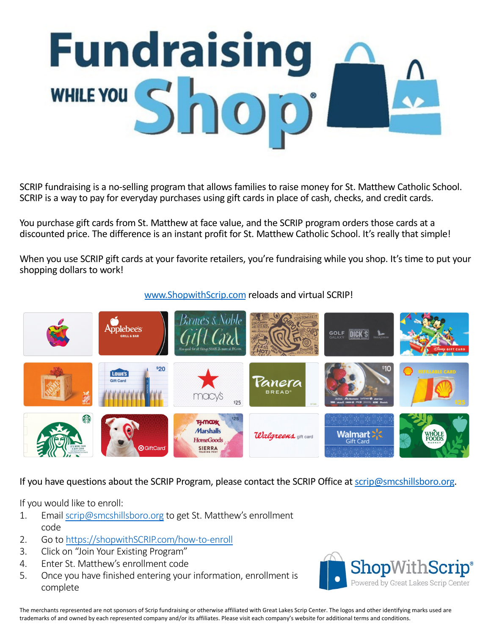# **Fundraising** WHILE YOU Sh

SCRIP fundraising is a no-selling program that allows families to raise money for St. Matthew Catholic School. SCRIP is a way to pay for everyday purchases using gift cards in place of cash, checks, and credit cards.

You purchase gift cards from St. Matthew at face value, and the SCRIP program orders those cards at a discounted price. The difference is an instant profit for St. Matthew Catholic School. It's really that simple!

When you use SCRIP gift cards at your favorite retailers, you're fundraising while you shop. It's time to put your shopping dollars to work!

# [www.ShopwithScrip.com](http://www.shopwithscrip.com/) reloads and virtual SCRIP!



If you have questions about the SCRIP Program, please contact the SCRIP Office at [scrip@smcshillsboro.org.](mailto:scrip@smcshillsboro.org)

If you would like to enroll:

- 1. Email [scrip@smcshillsboro.org](mailto:scrip@smcshillsboro.org) to get St. Matthew's enrollment code
- 2. Go to [https://shopwithSCRIP.com/how-to-enroll](https://shopwithscrip.com/how-to-enroll)
- 3. Click on "Join Your Existing Program"
- 4. Enter St. Matthew's enrollment code
- 5. Once you have finished entering your information, enrollment is complete



The merchants represented are not sponsors of Scrip fundraising or otherwise affiliated with Great Lakes Scrip Center. The logos and other identifying marks used are trademarks of and owned by each represented company and/or its affiliates. Please visit each company's website for additional terms and conditions.